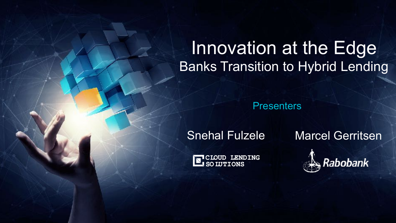# Innovation at the Edge Banks Transition to Hybrid Lending

**Presenters** 

**CLOUD LENDING SO LUTIONS**

© 2017 Cloud Lending Inc. All rights reserved. 1

Snehal Fulzele Marcel Gerritsen

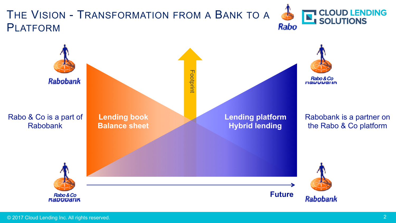### THE VISION - TRANSFORMATION FROM A BANK TO A PLATFORM



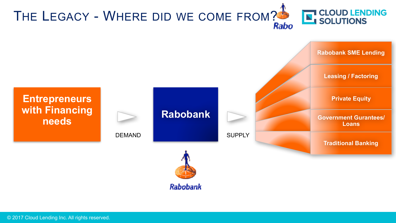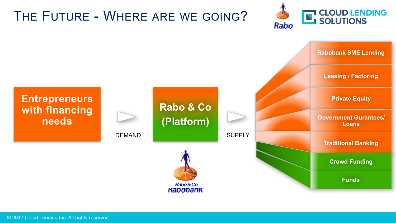## THE FUTURE - WHERE ARE WE GOING?



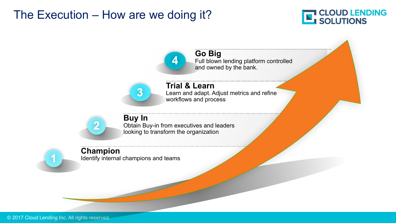#### The Execution – How are we doing it?



**Go Big** Full blown lending platform controlled and owned by the bank.

**3**

**Trial & Learn** Learn and adapt. Adjust metrics and refine workflows and process



**Buy In** Obtain Buy-in from executives and leaders looking to transform the organization

**4**

#### **Champion**

Identify internal champions and teams

**1**